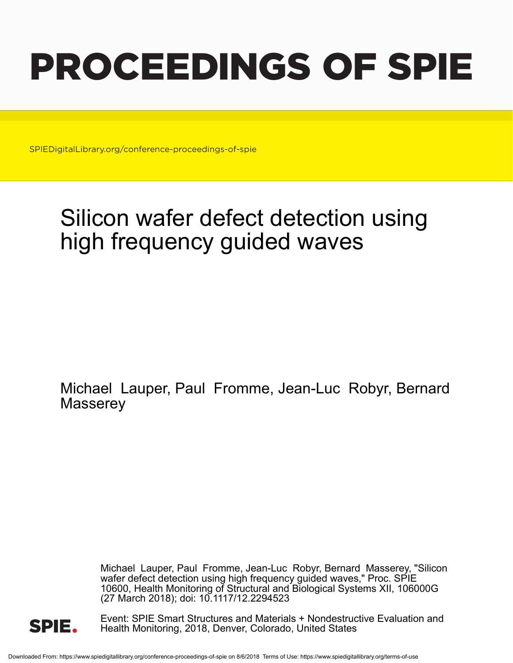# PROCEEDINGS OF SPIE

SPIEDigitalLibrary.org/conference-proceedings-of-spie

## Silicon wafer defect detection using high frequency guided waves

Michael Lauper, Paul Fromme, Jean-Luc Robyr, Bernard **Masserey** 

> Michael Lauper, Paul Fromme, Jean-Luc Robyr, Bernard Masserey, "Silicon wafer defect detection using high frequency guided waves," Proc. SPIE 10600, Health Monitoring of Structural and Biological Systems XII, 106000G (27 March 2018); doi: 10.1117/12.2294523



Event: SPIE Smart Structures and Materials + Nondestructive Evaluation and Health Monitoring, 2018, Denver, Colorado, United States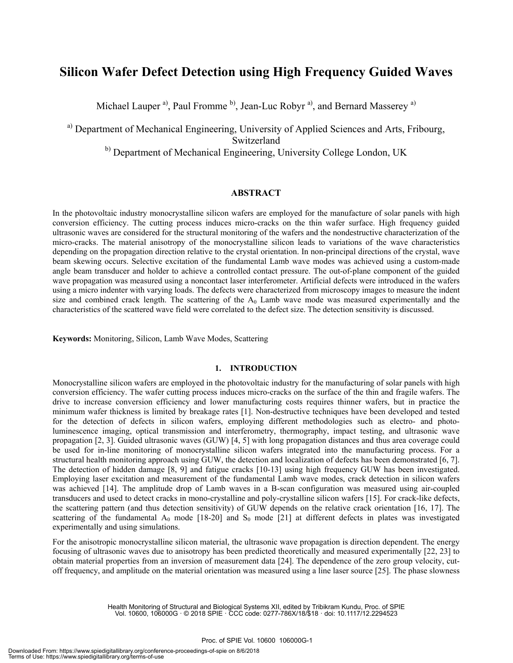### **Silicon Wafer Defect Detection using High Frequency Guided Waves**

Michael Lauper<sup>a)</sup>, Paul Fromme<sup>b</sup>, Jean-Luc Robyr<sup>a)</sup>, and Bernard Masserey<sup>a)</sup>

a) Department of Mechanical Engineering, University of Applied Sciences and Arts, Fribourg, Switzerland

<sup>b)</sup> Department of Mechanical Engineering, University College London, UK

#### **ABSTRACT**

In the photovoltaic industry monocrystalline silicon wafers are employed for the manufacture of solar panels with high conversion efficiency. The cutting process induces micro-cracks on the thin wafer surface. High frequency guided ultrasonic waves are considered for the structural monitoring of the wafers and the nondestructive characterization of the micro-cracks. The material anisotropy of the monocrystalline silicon leads to variations of the wave characteristics depending on the propagation direction relative to the crystal orientation. In non-principal directions of the crystal, wave beam skewing occurs. Selective excitation of the fundamental Lamb wave modes was achieved using a custom-made angle beam transducer and holder to achieve a controlled contact pressure. The out-of-plane component of the guided wave propagation was measured using a noncontact laser interferometer. Artificial defects were introduced in the wafers using a micro indenter with varying loads. The defects were characterized from microscopy images to measure the indent size and combined crack length. The scattering of the  $A_0$  Lamb wave mode was measured experimentally and the characteristics of the scattered wave field were correlated to the defect size. The detection sensitivity is discussed.

**Keywords:** Monitoring, Silicon, Lamb Wave Modes, Scattering

#### **1. INTRODUCTION**

Monocrystalline silicon wafers are employed in the photovoltaic industry for the manufacturing of solar panels with high conversion efficiency. The wafer cutting process induces micro-cracks on the surface of the thin and fragile wafers. The drive to increase conversion efficiency and lower manufacturing costs requires thinner wafers, but in practice the minimum wafer thickness is limited by breakage rates [1]. Non-destructive techniques have been developed and tested for the detection of defects in silicon wafers, employing different methodologies such as electro- and photoluminescence imaging, optical transmission and interferometry, thermography, impact testing, and ultrasonic wave propagation [2, 3]. Guided ultrasonic waves (GUW) [4, 5] with long propagation distances and thus area coverage could be used for in-line monitoring of monocrystalline silicon wafers integrated into the manufacturing process. For a structural health monitoring approach using GUW, the detection and localization of defects has been demonstrated [6, 7]. The detection of hidden damage [8, 9] and fatigue cracks [10-13] using high frequency GUW has been investigated. Employing laser excitation and measurement of the fundamental Lamb wave modes, crack detection in silicon wafers was achieved [14]. The amplitude drop of Lamb waves in a B-scan configuration was measured using air-coupled transducers and used to detect cracks in mono-crystalline and poly-crystalline silicon wafers [15]. For crack-like defects, the scattering pattern (and thus detection sensitivity) of GUW depends on the relative crack orientation [16, 17]. The scattering of the fundamental  $A_0$  mode [18-20] and  $S_0$  mode [21] at different defects in plates was investigated experimentally and using simulations.

For the anisotropic monocrystalline silicon material, the ultrasonic wave propagation is direction dependent. The energy focusing of ultrasonic waves due to anisotropy has been predicted theoretically and measured experimentally [22, 23] to obtain material properties from an inversion of measurement data [24]. The dependence of the zero group velocity, cutoff frequency, and amplitude on the material orientation was measured using a line laser source [25]. The phase slowness

Health Monitoring of Structural and Biological Systems XII, edited by Tribikram Kundu, Proc. of SPIE Vol. 10600, 106000G · © 2018 SPIE · CCC code: 0277-786X/18/\$18 · doi: 10.1117/12.2294523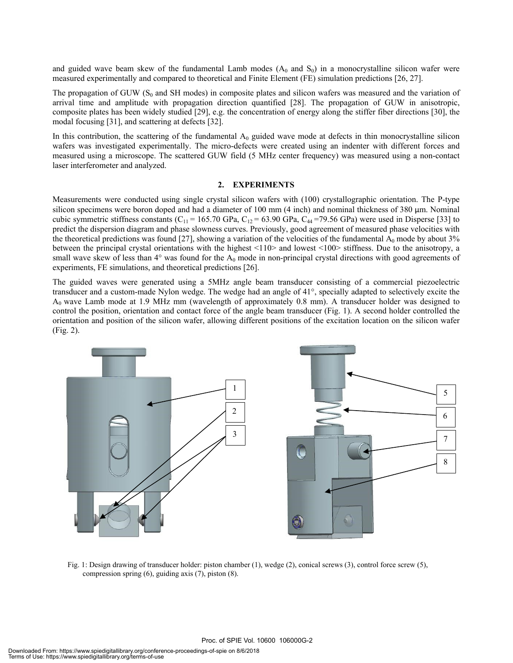and guided wave beam skew of the fundamental Lamb modes  $(A_0$  and  $S_0)$  in a monocrystalline silicon wafer were measured experimentally and compared to theoretical and Finite Element (FE) simulation predictions [26, 27].

The propagation of GUW ( $S_0$  and SH modes) in composite plates and silicon wafers was measured and the variation of arrival time and amplitude with propagation direction quantified [28]. The propagation of GUW in anisotropic, composite plates has been widely studied [29], e.g. the concentration of energy along the stiffer fiber directions [30], the modal focusing [31], and scattering at defects [32].

In this contribution, the scattering of the fundamental  $A_0$  guided wave mode at defects in thin monocrystalline silicon wafers was investigated experimentally. The micro-defects were created using an indenter with different forces and measured using a microscope. The scattered GUW field (5 MHz center frequency) was measured using a non-contact laser interferometer and analyzed.

#### **2. EXPERIMENTS**

Measurements were conducted using single crystal silicon wafers with (100) crystallographic orientation. The P-type silicon specimens were boron doped and had a diameter of 100 mm (4 inch) and nominal thickness of 380 µm. Nominal cubic symmetric stiffness constants (C<sub>11</sub> = 165.70 GPa, C<sub>12</sub> = 63.90 GPa, C<sub>44</sub> =79.56 GPa) were used in Disperse [33] to predict the dispersion diagram and phase slowness curves. Previously, good agreement of measured phase velocities with the theoretical predictions was found [27], showing a variation of the velocities of the fundamental  $A_0$  mode by about 3% between the principal crystal orientations with the highest <110> and lowest <100> stiffness. Due to the anisotropy, a small wave skew of less than  $4^\circ$  was found for the  $A_0$  mode in non-principal crystal directions with good agreements of experiments, FE simulations, and theoretical predictions [26].

The guided waves were generated using a 5MHz angle beam transducer consisting of a commercial piezoelectric transducer and a custom-made Nylon wedge. The wedge had an angle of 41°, specially adapted to selectively excite the  $A_0$  wave Lamb mode at 1.9 MHz mm (wavelength of approximately 0.8 mm). A transducer holder was designed to control the position, orientation and contact force of the angle beam transducer (Fig. 1). A second holder controlled the orientation and position of the silicon wafer, allowing different positions of the excitation location on the silicon wafer (Fig. 2).



Fig. 1: Design drawing of transducer holder: piston chamber (1), wedge (2), conical screws (3), control force screw (5), compression spring (6), guiding axis (7), piston (8).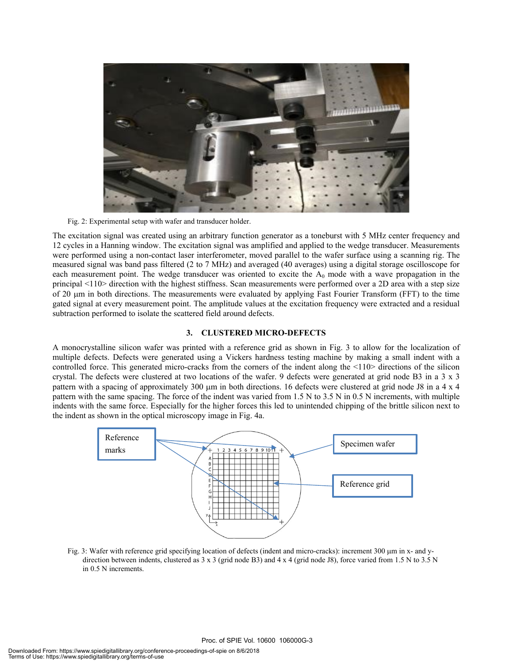

Fig. 2: Experimental setup with wafer and transducer holder.

The excitation signal was created using an arbitrary function generator as a toneburst with 5 MHz center frequency and 12 cycles in a Hanning window. The excitation signal was amplified and applied to the wedge transducer. Measurements were performed using a non-contact laser interferometer, moved parallel to the wafer surface using a scanning rig. The measured signal was band pass filtered (2 to 7 MHz) and averaged (40 averages) using a digital storage oscilloscope for each measurement point. The wedge transducer was oriented to excite the  $A_0$  mode with a wave propagation in the principal <110> direction with the highest stiffness. Scan measurements were performed over a 2D area with a step size of 20 μm in both directions. The measurements were evaluated by applying Fast Fourier Transform (FFT) to the time gated signal at every measurement point. The amplitude values at the excitation frequency were extracted and a residual subtraction performed to isolate the scattered field around defects.

#### **3. CLUSTERED MICRO-DEFECTS**

A monocrystalline silicon wafer was printed with a reference grid as shown in Fig. 3 to allow for the localization of multiple defects. Defects were generated using a Vickers hardness testing machine by making a small indent with a controlled force. This generated micro-cracks from the corners of the indent along the  $\leq 110$  directions of the silicon crystal. The defects were clustered at two locations of the wafer. 9 defects were generated at grid node B3 in a 3 x 3 pattern with a spacing of approximately 300 μm in both directions. 16 defects were clustered at grid node J8 in a 4 x 4 pattern with the same spacing. The force of the indent was varied from 1.5 N to 3.5 N in 0.5 N increments, with multiple indents with the same force. Especially for the higher forces this led to unintended chipping of the brittle silicon next to the indent as shown in the optical microscopy image in Fig. 4a.



Fig. 3: Wafer with reference grid specifying location of defects (indent and micro-cracks): increment 300 μm in x- and ydirection between indents, clustered as 3 x 3 (grid node B3) and 4 x 4 (grid node J8), force varied from 1.5 N to 3.5 N in 0.5 N increments.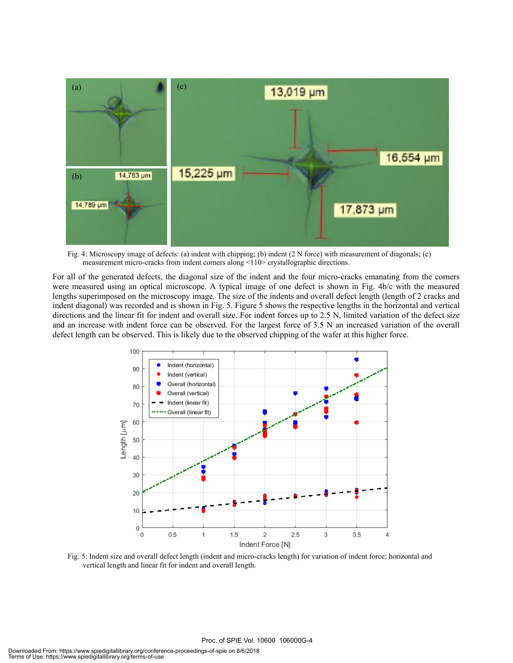

Fig. 4: Microscopy image of defects: (a) indent with chipping; (b) indent (2 N force) with measurement of diagonals; (c) measurement micro-cracks from indent corners along <110> crystallographic directions.

For all of the generated defects, the diagonal size of the indent and the four micro-cracks emanating from the corners were measured using an optical microscope. A typical image of one defect is shown in Fig. 4b/c with the measured lengths superimposed on the microscopy image. The size of the indents and overall defect length (length of 2 cracks and indent diagonal) was recorded and is shown in Fig. 5. Figure 5 shows the respective lengths in the horizontal and vertical directions and the linear fit for indent and overall size. For indent forces up to 2.5 N, limited variation of the defect size and an increase with indent force can be observed. For the largest force of 3.5 N an increased variation of the overall defect length can be observed. This is likely due to the observed chipping of the wafer at this higher force.



Fig. 5: Indent size and overall defect length (indent and micro-cracks length) for variation of indent force; horizontal and vertical length and linear fit for indent and overall length.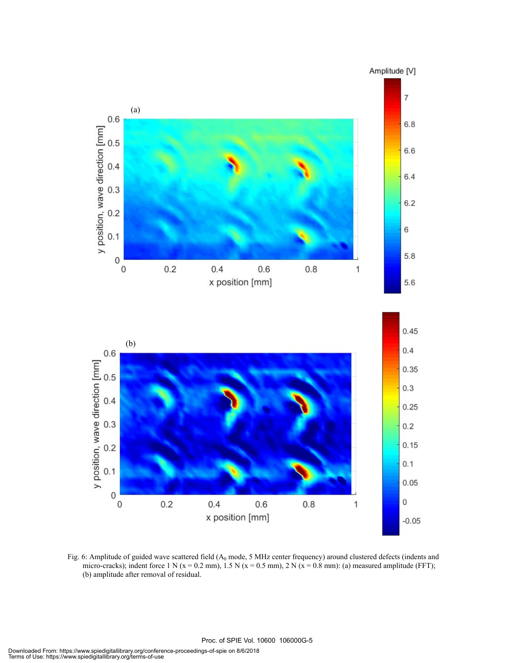

Fig. 6: Amplitude of guided wave scattered field  $(A_0 \text{ mode}, 5 \text{ MHz})$  center frequency) around clustered defects (indents and micro-cracks); indent force 1 N ( $x = 0.2$  mm), 1.5 N ( $x = 0.5$  mm), 2 N ( $x = 0.8$  mm): (a) measured amplitude (FFT); (b) amplitude after removal of residual.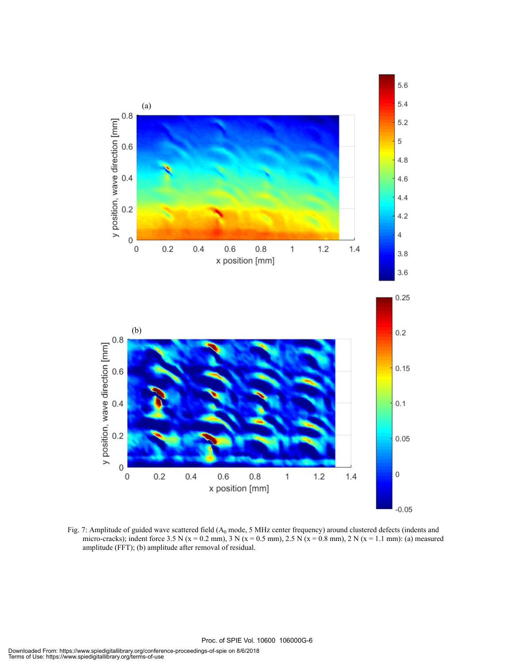

Fig. 7: Amplitude of guided wave scattered field  $(A_0 \text{ mode}, 5 \text{ MHz})$  center frequency) around clustered defects (indents and micro-cracks); indent force 3.5 N (x = 0.2 mm), 3 N (x = 0.5 mm), 2.5 N (x = 0.8 mm), 2 N (x = 1.1 mm): (a) measured amplitude (FFT); (b) amplitude after removal of residual.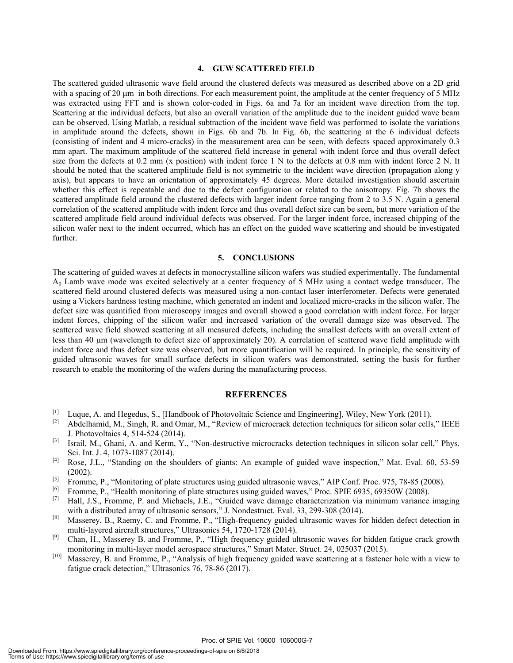#### **4. GUW SCATTERED FIELD**

The scattered guided ultrasonic wave field around the clustered defects was measured as described above on a 2D grid with a spacing of 20 μm in both directions. For each measurement point, the amplitude at the center frequency of 5 MHz was extracted using FFT and is shown color-coded in Figs. 6a and 7a for an incident wave direction from the top. Scattering at the individual defects, but also an overall variation of the amplitude due to the incident guided wave beam can be observed. Using Matlab, a residual subtraction of the incident wave field was performed to isolate the variations in amplitude around the defects, shown in Figs. 6b and 7b. In Fig. 6b, the scattering at the 6 individual defects (consisting of indent and 4 micro-cracks) in the measurement area can be seen, with defects spaced approximately 0.3 mm apart. The maximum amplitude of the scattered field increase in general with indent force and thus overall defect size from the defects at 0.2 mm (x position) with indent force 1 N to the defects at 0.8 mm with indent force 2 N. It should be noted that the scattered amplitude field is not symmetric to the incident wave direction (propagation along y axis), but appears to have an orientation of approximately 45 degrees. More detailed investigation should ascertain whether this effect is repeatable and due to the defect configuration or related to the anisotropy. Fig. 7b shows the scattered amplitude field around the clustered defects with larger indent force ranging from 2 to 3.5 N. Again a general correlation of the scattered amplitude with indent force and thus overall defect size can be seen, but more variation of the scattered amplitude field around individual defects was observed. For the larger indent force, increased chipping of the silicon wafer next to the indent occurred, which has an effect on the guided wave scattering and should be investigated further.

#### **5. CONCLUSIONS**

The scattering of guided waves at defects in monocrystalline silicon wafers was studied experimentally. The fundamental A0 Lamb wave mode was excited selectively at a center frequency of 5 MHz using a contact wedge transducer. The scattered field around clustered defects was measured using a non-contact laser interferometer. Defects were generated using a Vickers hardness testing machine, which generated an indent and localized micro-cracks in the silicon wafer. The defect size was quantified from microscopy images and overall showed a good correlation with indent force. For larger indent forces, chipping of the silicon wafer and increased variation of the overall damage size was observed. The scattered wave field showed scattering at all measured defects, including the smallest defects with an overall extent of less than 40 μm (wavelength to defect size of approximately 20). A correlation of scattered wave field amplitude with indent force and thus defect size was observed, but more quantification will be required. In principle, the sensitivity of guided ultrasonic waves for small surface defects in silicon wafers was demonstrated, setting the basis for further research to enable the monitoring of the wafers during the manufacturing process.

#### **REFERENCES**

- [1] Luque, A. and Hegedus, S., [Handbook of Photovoltaic Science and Engineering], Wiley, New York (2011).<br>[2] Abdelhamid M. Singh R. and Omar M. "Review of microcrack detection techniques for silicon solar cells
- Abdelhamid, M., Singh, R. and Omar, M., "Review of microcrack detection techniques for silicon solar cells," IEEE J. Photovoltaics 4, 514-524 (2014).
- [3] Israil, M., Ghani, A. and Kerm, Y., "Non-destructive microcracks detection techniques in silicon solar cell," Phys. Sci. Int. J. 4, 1073-1087 (2014).
- [4] Rose, J.L., "Standing on the shoulders of giants: An example of guided wave inspection," Mat. Eval. 60, 53-59 (2002).
- [5] Fromme, P., "Monitoring of plate structures using guided ultrasonic waves," AIP Conf. Proc. 975, 78-85 (2008).<br>[6] Fromma B. "Health monitoring of plate structures using quided waves." Proc. SPIE 6935, 69350W (2008).
- <sup>[6]</sup> Fromme, P., "Health monitoring of plate structures using guided waves," Proc. SPIE 6935, 69350W (2008).<br><sup>[7]</sup> Hall J.S., Fromme, P. and Michaels, J.E. "Guided wave damage characterization via minimum variance
- [7] Hall, J.S., Fromme, P. and Michaels, J.E., "Guided wave damage characterization via minimum variance imaging with a distributed array of ultrasonic sensors," J. Nondestruct. Eval. 33, 299-308 (2014).
- [8] Masserey, B., Raemy, C. and Fromme, P., "High-frequency guided ultrasonic waves for hidden defect detection in multi-layered aircraft structures," Ultrasonics 54, 1720-1728 (2014).
- [9] Chan, H., Masserey B. and Fromme, P., "High frequency guided ultrasonic waves for hidden fatigue crack growth monitoring in multi-layer model aerospace structures," Smart Mater. Struct. 24, 025037 (2015).
- [10] Masserey, B. and Fromme, P., "Analysis of high frequency guided wave scattering at a fastener hole with a view to fatigue crack detection," Ultrasonics 76, 78-86 (2017).